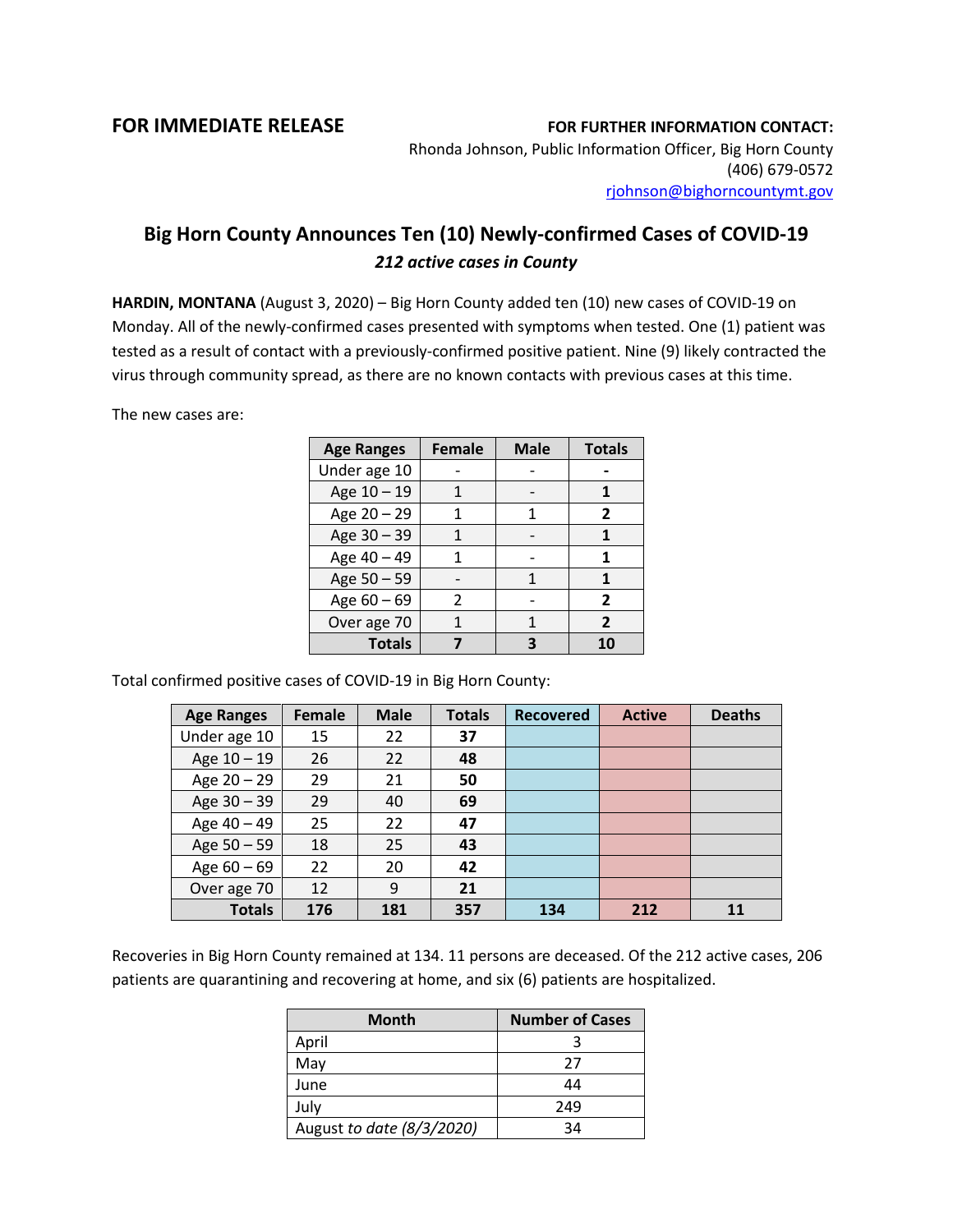## **FOR IMMEDIATE RELEASE FOR FURTHER INFORMATION CONTACT:**

Rhonda Johnson, Public Information Officer, Big Horn County (406) 679-0572 [rjohnson@bighorncountymt.gov](mailto:rjohnson@bighorncountymt.gov)

## **Big Horn County Announces Ten (10) Newly-confirmed Cases of COVID-19** *212 active cases in County*

**HARDIN, MONTANA** (August 3, 2020) – Big Horn County added ten (10) new cases of COVID-19 on Monday. All of the newly-confirmed cases presented with symptoms when tested. One (1) patient was tested as a result of contact with a previously-confirmed positive patient. Nine (9) likely contracted the virus through community spread, as there are no known contacts with previous cases at this time.

The new cases are:

| <b>Age Ranges</b> | <b>Female</b> | <b>Male</b> | <b>Totals</b>  |
|-------------------|---------------|-------------|----------------|
| Under age 10      |               |             |                |
| Age 10 - 19       |               |             |                |
| Age 20 - 29       |               | 1           | 2              |
| Age 30 - 39       |               |             |                |
| Age 40 - 49       |               |             | 1              |
| Age 50 - 59       |               |             | 1              |
| Age $60 - 69$     | 2             |             | $\overline{2}$ |
| Over age 70       |               |             | 2              |
| <b>Totals</b>     |               |             | 10             |

Total confirmed positive cases of COVID-19 in Big Horn County:

| <b>Age Ranges</b> | <b>Female</b> | <b>Male</b> | <b>Totals</b> | <b>Recovered</b> | <b>Active</b> | <b>Deaths</b> |
|-------------------|---------------|-------------|---------------|------------------|---------------|---------------|
| Under age 10      | 15            | 22          | 37            |                  |               |               |
| Age 10 - 19       | 26            | 22          | 48            |                  |               |               |
| Age 20 - 29       | 29            | 21          | 50            |                  |               |               |
| Age 30 - 39       | 29            | 40          | 69            |                  |               |               |
| Age 40 - 49       | 25            | 22          | 47            |                  |               |               |
| Age 50 - 59       | 18            | 25          | 43            |                  |               |               |
| Age $60 - 69$     | 22            | 20          | 42            |                  |               |               |
| Over age 70       | 12            | 9           | 21            |                  |               |               |
| <b>Totals</b>     | 176           | 181         | 357           | 134              | 212           | 11            |

Recoveries in Big Horn County remained at 134. 11 persons are deceased. Of the 212 active cases, 206 patients are quarantining and recovering at home, and six (6) patients are hospitalized.

| <b>Month</b>              | <b>Number of Cases</b> |  |  |
|---------------------------|------------------------|--|--|
| April                     |                        |  |  |
| May                       | 27                     |  |  |
| June                      | 44                     |  |  |
| July                      | 249                    |  |  |
| August to date (8/3/2020) | 34                     |  |  |